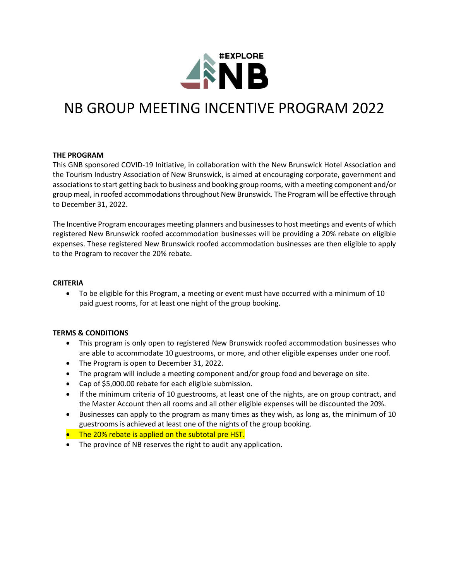

# NB GROUP MEETING INCENTIVE PROGRAM 2022

## **THE PROGRAM**

This GNB sponsored COVID-19 Initiative, in collaboration with the New Brunswick Hotel Association and the Tourism Industry Association of New Brunswick, is aimed at encouraging corporate, government and associationsto start getting back to business and booking group rooms, with a meeting component and/or group meal, in roofed accommodations throughout New Brunswick. The Program will be effective through to December 31, 2022.

The Incentive Program encourages meeting planners and businesses to host meetings and events of which registered New Brunswick roofed accommodation businesses will be providing a 20% rebate on eligible expenses. These registered New Brunswick roofed accommodation businesses are then eligible to apply to the Program to recover the 20% rebate.

#### **CRITERIA**

• To be eligible for this Program, a meeting or event must have occurred with a minimum of 10 paid guest rooms, for at least one night of the group booking.

#### **TERMS & CONDITIONS**

- This program is only open to registered New Brunswick roofed accommodation businesses who are able to accommodate 10 guestrooms, or more, and other eligible expenses under one roof.
- The Program is open to December 31, 2022.
- The program will include a meeting component and/or group food and beverage on site.
- Cap of \$5,000.00 rebate for each eligible submission.
- If the minimum criteria of 10 guestrooms, at least one of the nights, are on group contract, and the Master Account then all rooms and all other eligible expenses will be discounted the 20%.
- Businesses can apply to the program as many times as they wish, as long as, the minimum of 10 guestrooms is achieved at least one of the nights of the group booking.
- The 20% rebate is applied on the subtotal pre HST.
- The province of NB reserves the right to audit any application.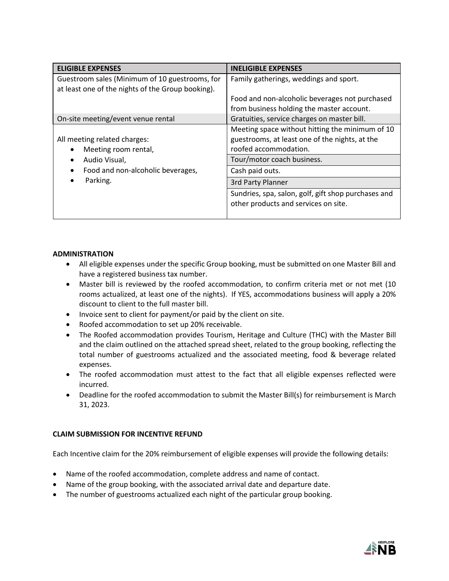| <b>ELIGIBLE EXPENSES</b>                                                                            | <b>INELIGIBLE EXPENSES</b>                                                                                                 |
|-----------------------------------------------------------------------------------------------------|----------------------------------------------------------------------------------------------------------------------------|
| Guestroom sales (Minimum of 10 guestrooms, for<br>at least one of the nights of the Group booking). | Family gatherings, weddings and sport.                                                                                     |
|                                                                                                     | Food and non-alcoholic beverages not purchased<br>from business holding the master account.                                |
| On-site meeting/event venue rental                                                                  | Gratuities, service charges on master bill.                                                                                |
| All meeting related charges:<br>Meeting room rental,                                                | Meeting space without hitting the minimum of 10<br>guestrooms, at least one of the nights, at the<br>roofed accommodation. |
| Audio Visual,                                                                                       | Tour/motor coach business.                                                                                                 |
| Food and non-alcoholic beverages,                                                                   | Cash paid outs.                                                                                                            |
| Parking.                                                                                            | 3rd Party Planner                                                                                                          |
|                                                                                                     | Sundries, spa, salon, golf, gift shop purchases and<br>other products and services on site.                                |

# **ADMINISTRATION**

- All eligible expenses under the specific Group booking, must be submitted on one Master Bill and have a registered business tax number.
- Master bill is reviewed by the roofed accommodation, to confirm criteria met or not met (10 rooms actualized, at least one of the nights). If YES, accommodations business will apply a 20% discount to client to the full master bill.
- Invoice sent to client for payment/or paid by the client on site.
- Roofed accommodation to set up 20% receivable.
- The Roofed accommodation provides Tourism, Heritage and Culture (THC) with the Master Bill and the claim outlined on the attached spread sheet, related to the group booking, reflecting the total number of guestrooms actualized and the associated meeting, food & beverage related expenses.
- The roofed accommodation must attest to the fact that all eligible expenses reflected were incurred.
- Deadline for the roofed accommodation to submit the Master Bill(s) for reimbursement is March 31, 2023.

## **CLAIM SUBMISSION FOR INCENTIVE REFUND**

Each Incentive claim for the 20% reimbursement of eligible expenses will provide the following details:

- Name of the roofed accommodation, complete address and name of contact.
- Name of the group booking, with the associated arrival date and departure date.
- The number of guestrooms actualized each night of the particular group booking.